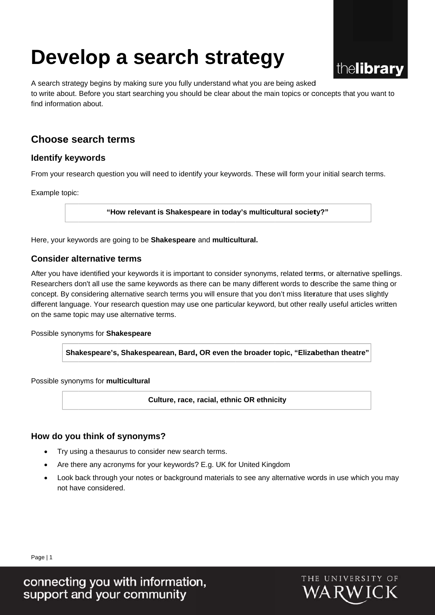# **Develop a search strategy**



A search strategy begins by making sure you fully understand what you are being asked to write about. Before you start searching you should be clear about the main topics or concepts that you want to find information about.

# **Choose search terms**

#### **Identify keywords**

From your research question you will need to identify your keywords. These will form your initial search terms.

Example topic:

"How relevant is Shakespeare in today's multicultural society?"

Here, your keywords are going to be **Shakespeare** and **multicultural.** 

#### **Consider alternative terms**

After you have identified your keywords it is important to consider synonyms, related terms, or alternative spellings. Researchers don't all use the same keywords as there can be many different words to describe the same thing or concept. By considering alternative search terms you will ensure that you don't miss literature that uses slightly different language. Your research question may use one particular keyword, but other really useful articles written on the same topic may use alternative terms.

Possible synonyms for Shakespeare

Shakespeare's, Shakespearean, Bard, OR even the broader topic, "Elizabethan theatre"

Possible synonyms for multicultural

**Culture, race, racial, ethnic OR ethnicity** 

#### **How do you think of synonyms?**

- Try using a thesaurus to consider new search terms.
- Are there any acronyms for your keywords? E.g. UK for United Kingdom
- Look back through your notes or background materials to see any alternative woords in use which you may not have considered.

Page | 1

connecting you with information,<br>support and your community

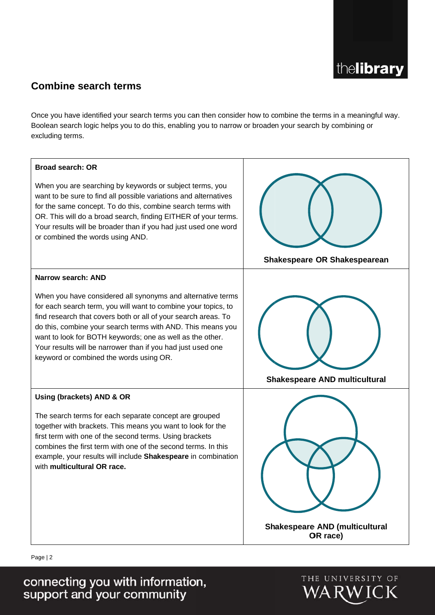

# **Combine search terms**

excluding terms. Once you have identified your search terms you can then consider how to combine the terms in a meaningful way. Boolean search logic helps you to do this, enabling you to narrow or broaden your search by combining or



When you are searching by keywords or subject terms, you want to be sure to find all possible variations and alternatives for the same concept. To do this, combine search terms with OR. This will do a broad search, finding EITHER of your terms. Your results will be broader than if you had just used one word or combined the words using AND.



When you have considered all synonyms and alternative terms for each search term, you will want to combine your topics, to find research that covers both or all of your search areas. To do this, combine your search terms with AND. This means you want to look for BOTH keywords; one as well as the other. Your results will be narrower than if you had just used one keyword or combined the words using OR.



The search terms for each separate concept are grouped together with brackets. This means you want to look for the first term with one of the second terms. Using brackets combines the first term with one of the second terms. In this example, your results will include Shakespeare in combination with multicultural OR race.



OR race)

Page | 2

connecting you with information,<br>support and your community

THE UNIVERSITY OF